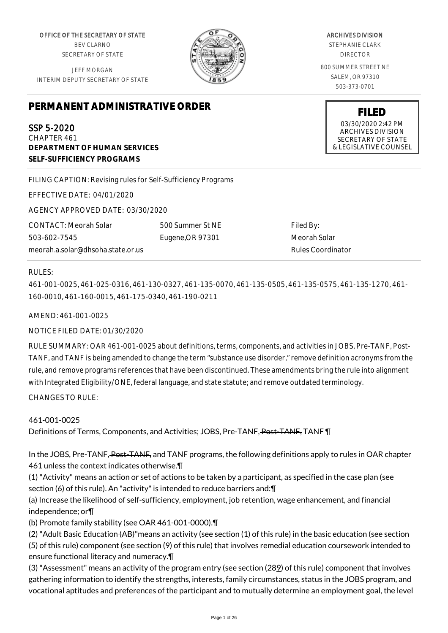OFFICE OF THE SECRETARY OF STATE BEV CLARNO SECRETARY OF STATE

JEFF MORGAN INTERIM DEPUTY SECRETARY OF STATE

# **PERMANENT ADMINISTRATIVE ORDER**

SSP 5-2020 CHAPTER 461 **DEPARTMENT OF HUMAN SERVICES SELF-SUFFICIENCY PROGRAMS**

FILING CAPTION: Revising rules for Self-Sufficiency Programs

EFFECTIVE DATE: 04/01/2020

AGENCY APPROVED DATE: 03/30/2020

CONTACT: Meorah Solar 503-602-7545 meorah.a.solar@dhsoha.state.or.us 500 Summer St NE Eugene,OR 97301

Filed By: Meorah Solar Rules Coordinator

#### RULES:

461-001-0025, 461-025-0316, 461-130-0327, 461-135-0070, 461-135-0505, 461-135-0575, 461-135-1270, 461- 160-0010, 461-160-0015, 461-175-0340, 461-190-0211

AMEND: 461-001-0025

NOTICE FILED DATE: 01/30/2020

RULE SUMMARY: OAR 461-001-0025 about definitions, terms, components, and activities in JOBS, Pre-TANF, Post-TANF, and TANF is being amended to change the term "substance use disorder," remove definition acronyms from the rule, and remove programs references that have been discontinued. These amendments bring the rule into alignment with Integrated Eligibility/ONE, federal language, and state statute; and remove outdated terminology.

CHANGES TO RULE:

## 461-001-0025

Definitions of Terms, Components, and Activities; JOBS, Pre-TANF, Post-TANF, TANF \[

In the JOBS, Pre-TANF, Post-TANF, and TANF programs, the following definitions apply to rules in OAR chapter 461 unless the context indicates otherwise.¶

(1) "Activity" means an action or set of actions to be taken by a participant, as specified in the case plan (see section (6) of this rule). An "activity" is intended to reduce barriers and:¶

(a) Increase the likelihood of self-sufficiency, employment, job retention, wage enhancement, and financial independence; or¶

(b) Promote family stability (see OAR 461-001-0000).¶

(2) "Adult Basic Education (AB)"means an activity (see section (1) of this rule) in the basic education (see section (5) of this rule) component (see section (9) of this rule) that involves remedial education coursework intended to ensure functional literacy and numeracy.¶

(3) "Assessment" means an activity of the program entry (see section (289) of this rule) component that involves gathering information to identify the strengths, interests, family circumstances, status in the JOBS program, and vocational aptitudes and preferences of the participant and to mutually determine an employment goal, the level

ARCHIVES DIVISION

STEPHANIE CLARK DIRECTOR

800 SUMMER STREET NE SALEM, OR 97310 503-373-0701

> **FILED** 03/30/2020 2:42 PM ARCHIVES DIVISION SECRETARY OF STATE & LEGISLATIVE COUNSEL

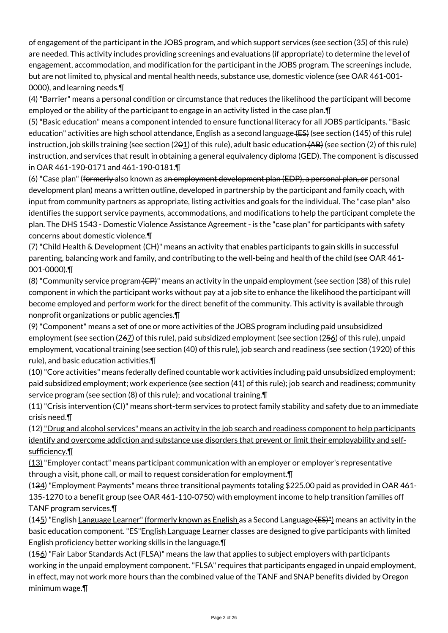of engagement of the participant in the JOBS program, and which support services (see section (35) of this rule) are needed. This activity includes providing screenings and evaluations (if appropriate) to determine the level of engagement, accommodation, and modification for the participant in the JOBS program. The screenings include, but are not limited to, physical and mental health needs, substance use, domestic violence (see OAR 461-001- 0000), and learning needs.¶

(4) "Barrier" means a personal condition or circumstance that reduces the likelihood the participant will become employed or the ability of the participant to engage in an activity listed in the case plan. In

(5) "Basic education" means a component intended to ensure functional literacy for all JOBS participants. "Basic education" activities are high school attendance, English as a second language (ES) (see section (145) of this rule) instruction, job skills training (see section (201) of this rule), adult basic education (AB) (see section (2) of this rule) instruction, and services that result in obtaining a general equivalency diploma (GED). The component is discussed in OAR 461-190-0171 and 461-190-0181.¶

(6) "Case plan" (formerly also known as an employment development plan (EDP), a personal plan, or personal development plan) means a written outline, developed in partnership by the participant and family coach, with input from community partners as appropriate, listing activities and goals for the individual. The "case plan" also identifies the support service payments, accommodations, and modifications to help the participant complete the plan. The DHS 1543 - Domestic Violence Assistance Agreement - is the "case plan" for participants with safety concerns about domestic violence.¶

(7) "Child Health & Development (CH)" means an activity that enables participants to gain skills in successful parenting, balancing work and family, and contributing to the well-being and health of the child (see OAR 461- 001-0000).¶

(8) "Community service program (CP)" means an activity in the unpaid employment (see section (38) of this rule) component in which the participant works without pay at a job site to enhance the likelihood the participant will become employed and perform work for the direct benefit of the community. This activity is available through nonprofit organizations or public agencies.¶

(9) "Component" means a set of one or more activities of the JOBS program including paid unsubsidized employment (see section (267) of this rule), paid subsidized employment (see section (256) of this rule), unpaid employment, vocational training (see section (40) of this rule), job search and readiness (see section (4920) of this rule), and basic education activities.¶

(10) "Core activities" means federally defined countable work activities including paid unsubsidized employment; paid subsidized employment; work experience (see section (41) of this rule); job search and readiness; community service program (see section (8) of this rule); and vocational training.¶

 $(11)$  "Crisis intervention  $\langle$ CH)" means short-term services to protect family stability and safety due to an immediate crisis need.¶

(12) "Drug and alcohol services" means an activity in the job search and readiness component to help participants identify and overcome addiction and substance use disorders that prevent or limit their employability and selfsufficiency.¶

(13) "Employer contact" means participant communication with an employer or employer's representative through a visit, phone call, or mail to request consideration for employment.¶

(134) "Employment Payments" means three transitional payments totaling \$225.00 paid as provided in OAR 461- 135-1270 to a benefit group (see OAR 461-110-0750) with employment income to help transition families off TANF program services.¶

 $(145)$  "English Language Learner" (formerly known as English as a Second Language (ES)") means an activity in the basic education component. "ES"English Language Learner classes are designed to give participants with limited English proficiency better working skills in the language.¶

(156) "Fair Labor Standards Act (FLSA)" means the law that applies to subject employers with participants working in the unpaid employment component. "FLSA" requires that participants engaged in unpaid employment, in effect, may not work more hours than the combined value of the TANF and SNAP benefits divided by Oregon minimum wage.¶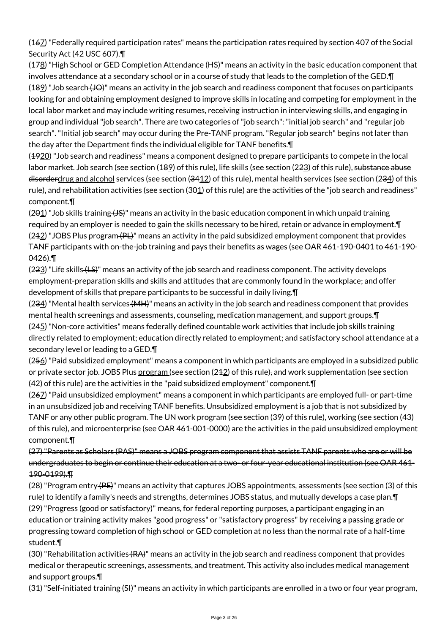(167) "Federally required participation rates" means the participation rates required by section 407 of the Social Security Act (42 USC 607).¶

 $(178)$  "High School or GED Completion Attendance  $(HS)$ " means an activity in the basic education component that involves attendance at a secondary school or in a course of study that leads to the completion of the GED.¶ (189) "Job search (JO)" means an activity in the job search and readiness component that focuses on participants looking for and obtaining employment designed to improve skills in locating and competing for employment in the local labor market and may include writing resumes, receiving instruction in interviewing skills, and engaging in group and individual "job search". There are two categories of "job search": "initial job search" and "regular job search". "Initial job search" may occur during the Pre-TANF program. "Regular job search" begins not later than the day after the Department finds the individual eligible for TANF benefits.¶

(4920) "Job search and readiness" means a component designed to prepare participants to compete in the local labor market. Job search (see section (189) of this rule), life skills (see section (223) of this rule), <del>substance abuse</del> disorderdrug and alcohol services (see section (3412) of this rule), mental health services (see section (234) of this rule), and rehabilitation activities (see section (301) of this rule) are the activities of the "job search and readiness" component.¶

 $(291)$  "Job skills training  $(15)$ " means an activity in the basic education component in which unpaid training required by an employer is needed to gain the skills necessary to be hired, retain or advance in employment.¶  $(242)$  "JOBS Plus program  $(PL)$ " means an activity in the paid subsidized employment component that provides TANF participants with on-the-job training and pays their benefits as wages (see OAR 461-190-0401 to 461-190- 0426).¶

(223) "Life skills (LS)" means an activity of the job search and readiness component. The activity develops employment-preparation skills and skills and attitudes that are commonly found in the workplace; and offer development of skills that prepare participants to be successful in daily living.¶

 $(234)$  "Mental health services  $\{MH\}$ " means an activity in the job search and readiness component that provides mental health screenings and assessments, counseling, medication management, and support groups.¶ (245) "Non-core activities" means federally defined countable work activities that include job skills training directly related to employment; education directly related to employment; and satisfactory school attendance at a secondary level or leading to a GED.¶

(256) "Paid subsidized employment" means a component in which participants are employed in a subsidized public or private sector job. JOBS Plus program (see section (242) of this rule), and work supplementation (see section (42) of this rule) are the activities in the "paid subsidized employment" component.¶

(267) "Paid unsubsidized employment" means a component in which participants are employed full- or part-time in an unsubsidized job and receiving TANF benefits. Unsubsidized employment is a job that is not subsidized by TANF or any other public program. The UN work program (see section (39) of this rule), working (see section (43) of this rule), and microenterprise (see OAR 461-001-0000) are the activities in the paid unsubsidized employment component.¶

(27) "Parents as Scholars (PAS)" means a JOBS program component that assists TANF parents who are or will be undergraduates to begin or continue their education at a two- or four-year educational institution (see OAR 461- 190-0199).¶

(28) "Program entry (PE)" means an activity that captures JOBS appointments, assessments (see section (3) of this rule) to identify a family's needs and strengths, determines JOBS status, and mutually develops a case plan.¶ (29) "Progress (good or satisfactory)" means, for federal reporting purposes, a participant engaging in an education or training activity makes "good progress" or "satisfactory progress" by receiving a passing grade or progressing toward completion of high school or GED completion at no less than the normal rate of a half-time student.¶

(30) "Rehabilitation activities (RA)" means an activity in the job search and readiness component that provides medical or therapeutic screenings, assessments, and treatment. This activity also includes medical management and support groups.¶

(31) "Self-initiated training (SH)" means an activity in which participants are enrolled in a two or four year program,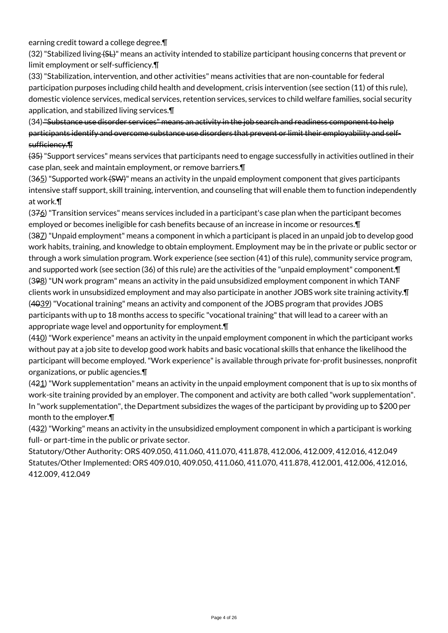earning credit toward a college degree.¶

(32) "Stabilized living (SL)" means an activity intended to stabilize participant housing concerns that prevent or limit employment or self-sufficiency.¶

(33) "Stabilization, intervention, and other activities" means activities that are non-countable for federal participation purposes including child health and development, crisis intervention (see section (11) of this rule), domestic violence services, medical services, retention services, services to child welfare families, social security application, and stabilized living services.¶

(34) "Substance use disorder services" means an activity in the job search and readiness component to help participants identify and overcome substance use disorders that prevent or limit their employability and selfsufficiency.¶

(35) "Support services" means services that participants need to engage successfully in activities outlined in their case plan, seek and maintain employment, or remove barriers.¶

 $(365)$  "Supported work  $(5W)$ " means an activity in the unpaid employment component that gives participants intensive staff support, skill training, intervention, and counseling that will enable them to function independently at work.¶

 $(376)$  "Transition services" means services included in a participant's case plan when the participant becomes employed or becomes ineligible for cash benefits because of an increase in income or resources.¶ (387) "Unpaid employment" means a component in which a participant is placed in an unpaid job to develop good work habits, training, and knowledge to obtain employment. Employment may be in the private or public sector or through a work simulation program. Work experience (see section (41) of this rule), community service program, and supported work (see section (36) of this rule) are the activities of the "unpaid employment" component. In (398) "UN work program" means an activity in the paid unsubsidized employment component in which TANF clients work in unsubsidized employment and may also participate in another JOBS work site training activity.¶ (4039) "Vocational training" means an activity and component of the JOBS program that provides JOBS participants with up to 18 months access to specific "vocational training" that will lead to a career with an appropriate wage level and opportunity for employment.¶

 $(440)$  "Work experience" means an activity in the unpaid employment component in which the participant works without pay at a job site to develop good work habits and basic vocational skills that enhance the likelihood the participant will become employed. "Work experience" is available through private for-profit businesses, nonprofit organizations, or public agencies.¶

 $(421)$  "Work supplementation" means an activity in the unpaid employment component that is up to six months of work-site training provided by an employer. The component and activity are both called "work supplementation". In "work supplementation", the Department subsidizes the wages of the participant by providing up to \$200 per month to the employer.¶

(432) "Working" means an activity in the unsubsidized employment component in which a participant is working full- or part-time in the public or private sector.

Statutory/Other Authority: ORS 409.050, 411.060, 411.070, 411.878, 412.006, 412.009, 412.016, 412.049 Statutes/Other Implemented: ORS 409.010, 409.050, 411.060, 411.070, 411.878, 412.001, 412.006, 412.016, 412.009, 412.049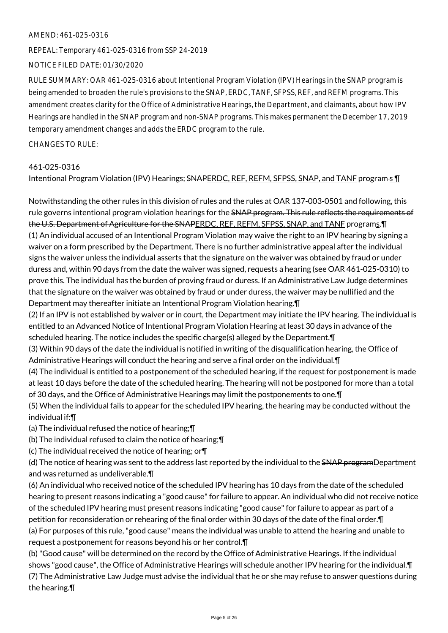#### AMEND: 461-025-0316

REPEAL: Temporary 461-025-0316 from SSP 24-2019

NOTICE FILED DATE: 01/30/2020

RULE SUMMARY: OAR 461-025-0316 about Intentional Program Violation (IPV) Hearings in the SNAP program is being amended to broaden the rule's provisions to the SNAP, ERDC, TANF, SFPSS, REF, and REFM programs. This amendment creates clarity for the Office of Administrative Hearings, the Department, and claimants, about how IPV Hearings are handled in the SNAP program and non-SNAP programs. This makes permanent the December 17, 2019 temporary amendment changes and adds the ERDC program to the rule.

CHANGES TO RULE:

## 461-025-0316

Intentional Program Violation (IPV) Hearings; SNAPERDC, REF, REFM, SFPSS, SNAP, and TANF program-s 1

Notwithstanding the other rules in this division of rules and the rules at OAR 137-003-0501 and following, this rule governs intentional program violation hearings for the SNAP program. This rule reflects the requirements of the U.S. Department of Agriculture for the SNAPERDC, REF, REFM, SFPSS, SNAP, and TANF programs.¶ (1) An individual accused of an Intentional Program Violation may waive the right to an IPV hearing by signing a waiver on a form prescribed by the Department. There is no further administrative appeal after the individual signs the waiver unless the individual asserts that the signature on the waiver was obtained by fraud or under duress and, within 90 days from the date the waiver was signed, requests a hearing (see OAR 461-025-0310) to prove this. The individual has the burden of proving fraud or duress. If an Administrative Law Judge determines that the signature on the waiver was obtained by fraud or under duress, the waiver may be nullified and the Department may thereafter initiate an Intentional Program Violation hearing.¶

(2) If an IPV is not established by waiver or in court, the Department may initiate the IPV hearing. The individual is entitled to an Advanced Notice of Intentional Program Violation Hearing at least 30 days in advance of the scheduled hearing. The notice includes the specific charge(s) alleged by the Department.¶

(3) Within 90 days of the date the individual is notified in writing of the disqualification hearing, the Office of Administrative Hearings will conduct the hearing and serve a final order on the individual.¶

(4) The individual is entitled to a postponement of the scheduled hearing, if the request for postponement is made at least 10 days before the date of the scheduled hearing. The hearing will not be postponed for more than a total of 30 days, and the Office of Administrative Hearings may limit the postponements to one.¶

(5) When the individual fails to appear for the scheduled IPV hearing, the hearing may be conducted without the individual if:¶

(a) The individual refused the notice of hearing;¶

(b) The individual refused to claim the notice of hearing;¶

(c) The individual received the notice of hearing; or¶

(d) The notice of hearing was sent to the address last reported by the individual to the SNAP programDepartment and was returned as undeliverable.¶

(6) An individual who received notice of the scheduled IPV hearing has 10 days from the date of the scheduled hearing to present reasons indicating a "good cause" for failure to appear. An individual who did not receive notice of the scheduled IPV hearing must present reasons indicating "good cause" for failure to appear as part of a petition for reconsideration or rehearing of the final order within 30 days of the date of the final order.¶ (a) For purposes of this rule, "good cause" means the individual was unable to attend the hearing and unable to

request a postponement for reasons beyond his or her control.¶

(b) "Good cause" will be determined on the record by the Office of Administrative Hearings. If the individual shows "good cause", the Office of Administrative Hearings will schedule another IPV hearing for the individual.¶ (7) The Administrative Law Judge must advise the individual that he or she may refuse to answer questions during the hearing.¶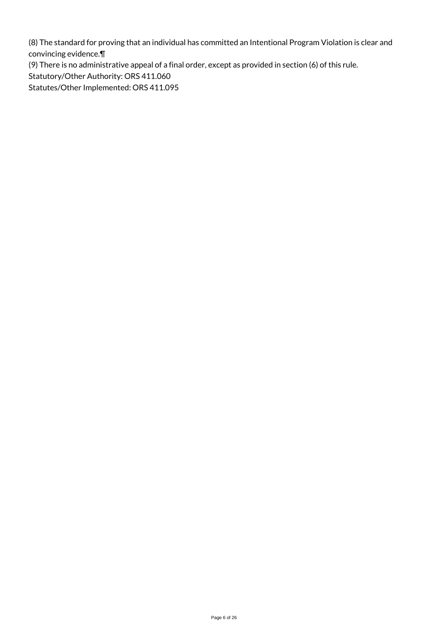(8) The standard for proving that an individual has committed an Intentional Program Violation is clear and convincing evidence.¶

(9) There is no administrative appeal of a final order, except as provided in section (6) of this rule.

Statutory/Other Authority: ORS 411.060

Statutes/Other Implemented: ORS 411.095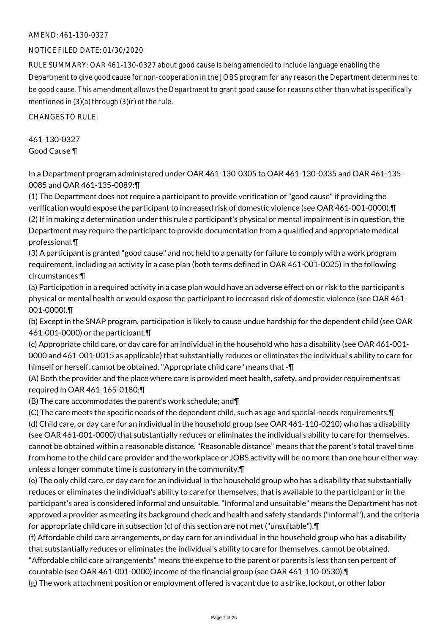## AMEND: 461-130-0327

## NOTICE FILED DATE: 01/30/2020

RULE SUMMARY: OAR 461-130-0327 about good cause is being amended to include language enabling the Department to give good cause for non-cooperation in the JOBS program for any reason the Department determines to be good cause. This amendment allows the Department to grant good cause for reasons other than what is specifically mentioned in (3)(a) through (3)(r) of the rule.

CHANGES TO RULE:

461-130-0327 Good Cause ¶

In a Department program administered under OAR 461-130-0305 to OAR 461-130-0335 and OAR 461-135- 0085 and OAR 461-135-0089:¶

(1) The Department does not require a participant to provide verification of "good cause" if providing the verification would expose the participant to increased risk of domestic violence (see OAR 461-001-0000).¶ (2) If in making a determination under this rule a participant's physical or mental impairment is in question, the Department may require the participant to provide documentation from a qualified and appropriate medical professional.¶

(3) A participant is granted "good cause" and not held to a penalty for failure to comply with a work program requirement, including an activity in a case plan (both terms defined in OAR 461-001-0025) in the following circumstances:¶

(a) Participation in a required activity in a case plan would have an adverse effect on or risk to the participant's physical or mental health or would expose the participant to increased risk of domestic violence (see OAR 461- 001-0000).¶

(b) Except in the SNAP program, participation is likely to cause undue hardship for the dependent child (see OAR 461-001-0000) or the participant.¶

(c) Appropriate child care, or day care for an individual in the household who has a disability (see OAR 461-001- 0000 and 461-001-0015 as applicable) that substantially reduces or eliminates the individual's ability to care for himself or herself, cannot be obtained. "Appropriate child care" means that -¶

(A) Both the provider and the place where care is provided meet health, safety, and provider requirements as required in OAR 461-165-0180;¶

(B) The care accommodates the parent's work schedule; and¶

(C) The care meets the specific needs of the dependent child, such as age and special-needs requirements.¶ (d) Child care, or day care for an individual in the household group (see OAR 461-110-0210) who has a disability (see OAR 461-001-0000) that substantially reduces or eliminates the individual's ability to care for themselves, cannot be obtained within a reasonable distance. "Reasonable distance" means that the parent's total travel time from home to the child care provider and the workplace or JOBS activity will be no more than one hour either way unless a longer commute time is customary in the community.¶

(e) The only child care, or day care for an individual in the household group who has a disability that substantially reduces or eliminates the individual's ability to care for themselves, that is available to the participant or in the participant's area is considered informal and unsuitable. "Informal and unsuitable" means the Department has not approved a provider as meeting its background check and health and safety standards ("informal"), and the criteria for appropriate child care in subsection (c) of this section are not met ("unsuitable").¶

(f) Affordable child care arrangements, or day care for an individual in the household group who has a disability that substantially reduces or eliminates the individual's ability to care for themselves, cannot be obtained.

"Affordable child care arrangements" means the expense to the parent or parents is less than ten percent of countable (see OAR 461-001-0000) income of the financial group (see OAR 461-110-0530).¶

(g) The work attachment position or employment offered is vacant due to a strike, lockout, or other labor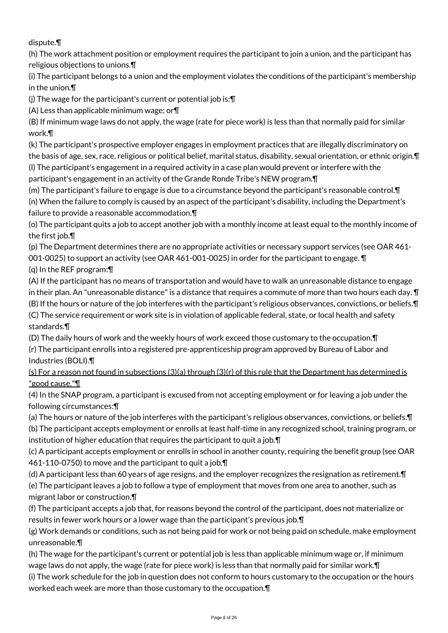dispute.¶

(h) The work attachment position or employment requires the participant to join a union, and the participant has religious objections to unions.¶

(i) The participant belongs to a union and the employment violates the conditions of the participant's membership in the union.¶

(j) The wage for the participant's current or potential job is:¶

(A) Less than applicable minimum wage; or¶

(B) If minimum wage laws do not apply, the wage (rate for piece work) is less than that normally paid for similar work.¶

(k) The participant's prospective employer engages in employment practices that are illegally discriminatory on the basis of age, sex, race, religious or political belief, marital status, disability, sexual orientation, or ethnic origin.¶ (l) The participant's engagement in a required activity in a case plan would prevent or interfere with the participant's engagement in an activity of the Grande Ronde Tribe's NEW program.¶

(m) The participant's failure to engage is due to a circumstance beyond the participant's reasonable control.¶ (n) When the failure to comply is caused by an aspect of the participant's disability, including the Department's failure to provide a reasonable accommodation.¶

(o) The participant quits a job to accept another job with a monthly income at least equal to the monthly income of the first job.¶

(p) The Department determines there are no appropriate activities or necessary support services (see OAR 461- 001-0025) to support an activity (see OAR 461-001-0025) in order for the participant to engage. ¶

(q) In the REF program:¶

(A) If the participant has no means of transportation and would have to walk an unreasonable distance to engage in their plan. An "unreasonable distance" is a distance that requires a commute of more than two hours each day. ¶ (B) If the hours or nature of the job interferes with the participant's religious observances, convictions, or beliefs.¶ (C) The service requirement or work site is in violation of applicable federal, state, or local health and safety standards.¶

(D) The daily hours of work and the weekly hours of work exceed those customary to the occupation.¶

(r) The participant enrolls into a registered pre-apprenticeship program approved by Bureau of Labor and Industries (BOLI).¶

(s) For a reason not found in subsections (3)(a) through (3)(r) of this rule that the Department has determined is "good cause."¶

(4) In the SNAP program, a participant is excused from not accepting employment or for leaving a job under the following circumstances:¶

(a) The hours or nature of the job interferes with the participant's religious observances, convictions, or beliefs.¶

(b) The participant accepts employment or enrolls at least half-time in any recognized school, training program, or institution of higher education that requires the participant to quit a job.¶

(c) A participant accepts employment or enrolls in school in another county, requiring the benefit group (see OAR 461-110-0750) to move and the participant to quit a job.¶

(d) A participant less than 60 years of age resigns, and the employer recognizes the resignation as retirement.¶ (e) The participant leaves a job to follow a type of employment that moves from one area to another, such as migrant labor or construction.¶

(f) The participant accepts a job that, for reasons beyond the control of the participant, does not materialize or results in fewer work hours or a lower wage than the participant's previous job.¶

(g) Work demands or conditions, such as not being paid for work or not being paid on schedule, make employment unreasonable.¶

(h) The wage for the participant's current or potential job is less than applicable minimum wage or, if minimum wage laws do not apply, the wage (rate for piece work) is less than that normally paid for similar work. In (i) The work schedule for the job in question does not conform to hours customary to the occupation or the hours

worked each week are more than those customary to the occupation.¶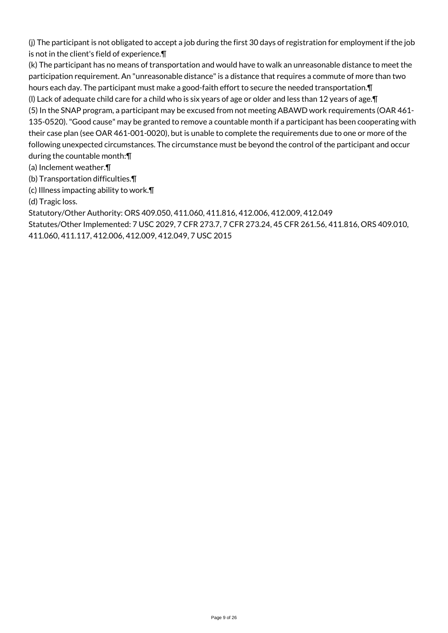(j) The participant is not obligated to accept a job during the first 30 days of registration for employment if the job is not in the client's field of experience.¶

(k) The participant has no means of transportation and would have to walk an unreasonable distance to meet the participation requirement. An "unreasonable distance" is a distance that requires a commute of more than two hours each day. The participant must make a good-faith effort to secure the needed transportation.¶ (l) Lack of adequate child care for a child who is six years of age or older and less than 12 years of age.¶ (5) In the SNAP program, a participant may be excused from not meeting ABAWD work requirements (OAR 461-

135-0520). "Good cause" may be granted to remove a countable month if a participant has been cooperating with their case plan (see OAR 461-001-0020), but is unable to complete the requirements due to one or more of the following unexpected circumstances. The circumstance must be beyond the control of the participant and occur during the countable month:¶

(a) Inclement weather.¶

(b) Transportation difficulties.¶

(c) Illness impacting ability to work.¶

(d) Tragic loss.

Statutory/Other Authority: ORS 409.050, 411.060, 411.816, 412.006, 412.009, 412.049

Statutes/Other Implemented: 7 USC 2029, 7 CFR 273.7, 7 CFR 273.24, 45 CFR 261.56, 411.816, ORS 409.010, 411.060, 411.117, 412.006, 412.009, 412.049, 7 USC 2015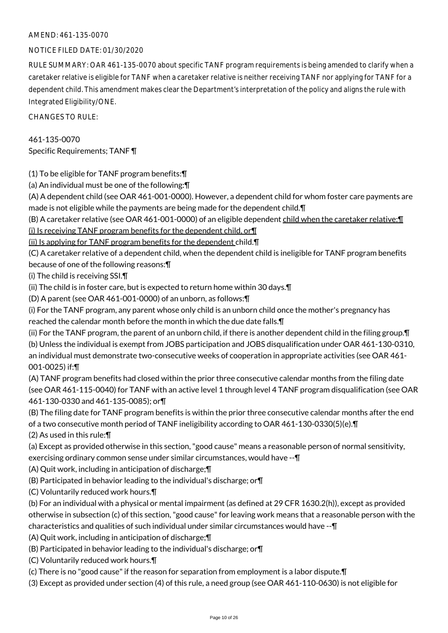## AMEND: 461-135-0070

## NOTICE FILED DATE: 01/30/2020

RULE SUMMARY: OAR 461-135-0070 about specific TANF program requirements is being amended to clarify when a caretaker relative is eligible for TANF when a caretaker relative is neither receiving TANF nor applying for TANF for a dependent child. This amendment makes clear the Department's interpretation of the policy and aligns the rule with Integrated Eligibility/ONE.

CHANGES TO RULE:

461-135-0070 Specific Requirements; TANF ¶

(1) To be eligible for TANF program benefits:¶

(a) An individual must be one of the following:¶

(A) A dependent child (see OAR 461-001-0000). However, a dependent child for whom foster care payments are made is not eligible while the payments are being made for the dependent child.¶

(B) A caretaker relative (see OAR 461-001-0000) of an eligible dependent child when the caretaker relative:¶

(i) Is receiving TANF program benefits for the dependent child, or¶

(ii) Is applying for TANF program benefits for the dependent child.¶

(C) A caretaker relative of a dependent child, when the dependent child is ineligible for TANF program benefits because of one of the following reasons:¶

(i) The child is receiving SSI.¶

(ii) The child is in foster care, but is expected to return home within 30 days.¶

(D) A parent (see OAR 461-001-0000) of an unborn, as follows:¶

(i) For the TANF program, any parent whose only child is an unborn child once the mother's pregnancy has reached the calendar month before the month in which the due date falls.¶

(ii) For the TANF program, the parent of an unborn child, if there is another dependent child in the filing group.¶ (b) Unless the individual is exempt from JOBS participation and JOBS disqualification under OAR 461-130-0310, an individual must demonstrate two-consecutive weeks of cooperation in appropriate activities (see OAR 461- 001-0025) if:¶

(A) TANF program benefits had closed within the prior three consecutive calendar months from the filing date (see OAR 461-115-0040) for TANF with an active level 1 through level 4 TANF program disqualification (see OAR 461-130-0330 and 461-135-0085); or¶

(B) The filing date for TANF program benefits is within the prior three consecutive calendar months after the end of a two consecutive month period of TANF ineligibility according to OAR 461-130-0330(5)(e).¶

(2) As used in this rule:¶

(a) Except as provided otherwise in this section, "good cause" means a reasonable person of normal sensitivity, exercising ordinary common sense under similar circumstances, would have --¶

(A) Quit work, including in anticipation of discharge;¶

- (B) Participated in behavior leading to the individual's discharge; or¶
- (C) Voluntarily reduced work hours.¶

(b) For an individual with a physical or mental impairment (as defined at 29 CFR 1630.2(h)), except as provided otherwise in subsection (c) of this section, "good cause" for leaving work means that a reasonable person with the characteristics and qualities of such individual under similar circumstances would have --¶

- (A) Quit work, including in anticipation of discharge;¶
- (B) Participated in behavior leading to the individual's discharge; or¶
- (C) Voluntarily reduced work hours.¶

(c) There is no "good cause" if the reason for separation from employment is a labor dispute.¶

(3) Except as provided under section (4) of this rule, a need group (see OAR 461-110-0630) is not eligible for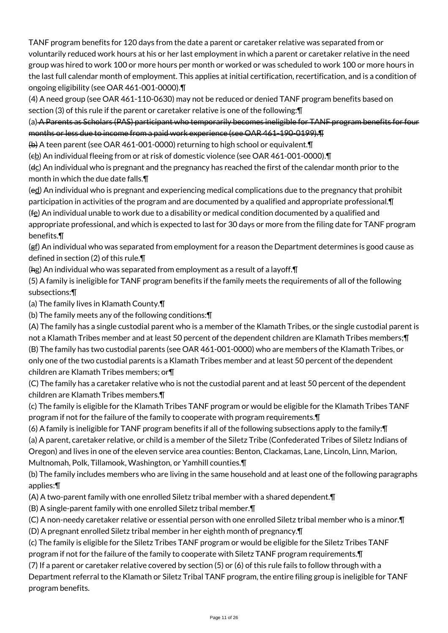TANF program benefits for 120 days from the date a parent or caretaker relative was separated from or voluntarily reduced work hours at his or her last employment in which a parent or caretaker relative in the need group was hired to work 100 or more hours per month or worked or was scheduled to work 100 or more hours in the last full calendar month of employment. This applies at initial certification, recertification, and is a condition of ongoing eligibility (see OAR 461-001-0000).¶

(4) A need group (see OAR 461-110-0630) may not be reduced or denied TANF program benefits based on section (3) of this rule if the parent or caretaker relative is one of the following:¶

(a) A Parents as Scholars (PAS) participant who temporarily becomes ineligible for TANF program benefits for four months or less due to income from a paid work experience (see OAR 461-190-0199).¶

(b) A teen parent (see OAR 461-001-0000) returning to high school or equivalent.¶

(eb) An individual fleeing from or at risk of domestic violence (see OAR 461-001-0000). T

(dc) An individual who is pregnant and the pregnancy has reached the first of the calendar month prior to the month in which the due date falls.¶

(ed) An individual who is pregnant and experiencing medical complications due to the pregnancy that prohibit participation in activities of the program and are documented by a qualified and appropriate professional.¶  $(f_2)$  An individual unable to work due to a disability or medical condition documented by a qualified and appropriate professional, and which is expected to last for 30 days or more from the filing date for TANF program benefits.¶

(gf) An individual who was separated from employment for a reason the Department determines is good cause as defined in section (2) of this rule.¶

(hg) An individual who was separated from employment as a result of a layoff.¶

(5) A family is ineligible for TANF program benefits if the family meets the requirements of all of the following subsections:¶

(a) The family lives in Klamath County.¶

(b) The family meets any of the following conditions:¶

(A) The family has a single custodial parent who is a member of the Klamath Tribes, or the single custodial parent is not a Klamath Tribes member and at least 50 percent of the dependent children are Klamath Tribes members;¶ (B) The family has two custodial parents (see OAR 461-001-0000) who are members of the Klamath Tribes, or only one of the two custodial parents is a Klamath Tribes member and at least 50 percent of the dependent children are Klamath Tribes members; or¶

(C) The family has a caretaker relative who is not the custodial parent and at least 50 percent of the dependent children are Klamath Tribes members.¶

(c) The family is eligible for the Klamath Tribes TANF program or would be eligible for the Klamath Tribes TANF program if not for the failure of the family to cooperate with program requirements.¶

(6) A family is ineligible for TANF program benefits if all of the following subsections apply to the family:¶ (a) A parent, caretaker relative, or child is a member of the Siletz Tribe (Confederated Tribes of Siletz Indians of Oregon) and lives in one of the eleven service area counties: Benton, Clackamas, Lane, Lincoln, Linn, Marion, Multnomah, Polk, Tillamook, Washington, or Yamhill counties.¶

(b) The family includes members who are living in the same household and at least one of the following paragraphs applies:¶

(A) A two-parent family with one enrolled Siletz tribal member with a shared dependent.¶

(B) A single-parent family with one enrolled Siletz tribal member.¶

(C) A non-needy caretaker relative or essential person with one enrolled Siletz tribal member who is a minor.¶

(D) A pregnant enrolled Siletz tribal member in her eighth month of pregnancy.¶

(c) The family is eligible for the Siletz Tribes TANF program or would be eligible for the Siletz Tribes TANF

program if not for the failure of the family to cooperate with Siletz TANF program requirements.¶

(7) If a parent or caretaker relative covered by section (5) or (6) of this rule fails to follow through with a Department referral to the Klamath or Siletz Tribal TANF program, the entire filing group is ineligible for TANF program benefits.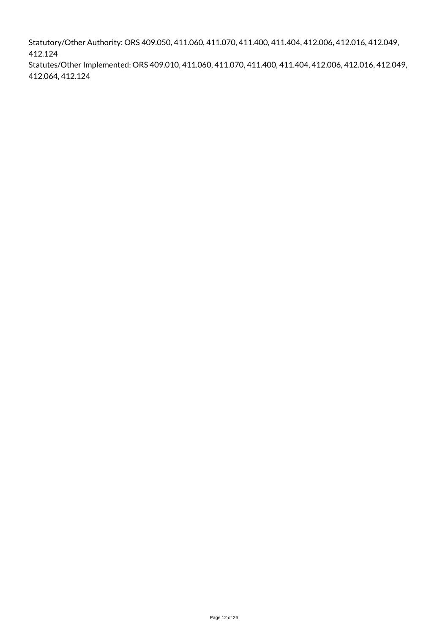Statutory/Other Authority: ORS 409.050, 411.060, 411.070, 411.400, 411.404, 412.006, 412.016, 412.049, 412.124

Statutes/Other Implemented: ORS 409.010, 411.060, 411.070, 411.400, 411.404, 412.006, 412.016, 412.049, 412.064, 412.124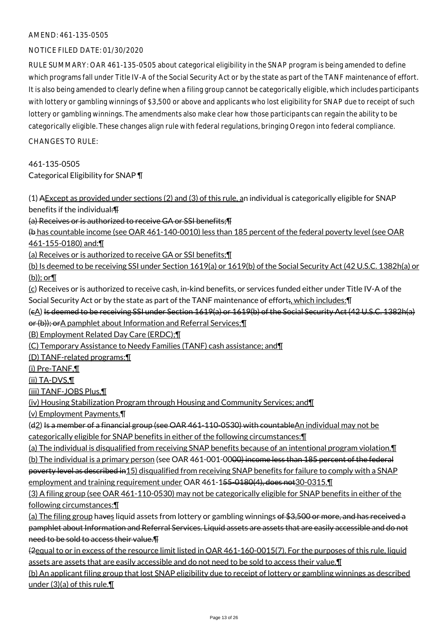## AMEND: 461-135-0505

## NOTICE FILED DATE: 01/30/2020

RULE SUMMARY: OAR 461-135-0505 about categorical eligibility in the SNAP program is being amended to define which programs fall under Title IV-A of the Social Security Act or by the state as part of the TANF maintenance of effort. It is also being amended to clearly define when a filing group cannot be categorically eligible, which includes participants with lottery or gambling winnings of \$3,500 or above and applicants who lost eligibility for SNAP due to receipt of such lottery or gambling winnings. The amendments also make clear how those participants can regain the ability to be categorically eligible. These changes align rule with federal regulations, bringing Oregon into federal compliance.

CHANGES TO RULE:

461-135-0505 Categorical Eligibility for SNAP ¶

(1) AExcept as provided under sections (2) and (3) of this rule, an individual is categorically eligible for SNAP benefits if the individual:¶

(a) Receives or is authorized to receive GA or SSI benefits;¶

(b has countable income (see OAR 461-140-0010) less than 185 percent of the federal poverty level (see OAR 461-155-0180) and:¶

(a) Receives or is authorized to receive GA or SSI benefits;¶

(b) Is deemed to be receiving SSI under Section 1619(a) or 1619(b) of the Social Security Act (42 U.S.C. 1382h(a) or (b)); or¶

(c) Receives or is authorized to receive cash, in-kind benefits, or services funded either under Title IV-A of the Social Security Act or by the state as part of the TANF maintenance of effort;, which includes:¶

(cA) Is deemed to be receiving SSI under Section 1619(a) or 1619(b) of the Social Security Act (42 U.S.C. 1382h(a) or (b)); or A pamphlet about Information and Referral Services; II

(B) Employment Related Day Care (ERDC);¶

(C) Temporary Assistance to Needy Families (TANF) cash assistance; and¶

(D) TANF-related programs:¶

(i) Pre-TANF,¶

(ii) TA-DVS,¶

(iii) TANF-JOBS Plus,¶

(iv) Housing Stabilization Program through Housing and Community Services; and¶

(v) Employment Payments.¶

(d2) Is a member of a financial group (see OAR 461-110-0530) with countableAn individual may not be categorically eligible for SNAP benefits in either of the following circumstances:¶

(a) The individual is disqualified from receiving SNAP benefits because of an intentional program violation.¶

(b) The individual is a primary person (see OAR 461-001-00<del>00) income less than 185 percent of the federal</del> poverty level as described in15) disqualified from receiving SNAP benefits for failure to comply with a SNAP employment and training requirement under OAR 461-155-0180(4), does not 30-0315.

(3) A filing group (see OAR 461-110-0530) may not be categorically eligible for SNAP benefits in either of the following circumstances:¶

(a) The filing group haves liquid assets from lottery or gambling winnings of \$3,500 or more, and has received a pamphlet about Information and Referral Services. Liquid assets are assets that are easily accessible and do not need to be sold to access their value.¶

(2equal to or in excess of the resource limit listed in OAR 461-160-0015(7). For the purposes of this rule, liquid assets are assets that are easily accessible and do not need to be sold to access their value.¶

(b) An applicant filing group that lost SNAP eligibility due to receipt of lottery or gambling winnings as described under (3)(a) of this rule.¶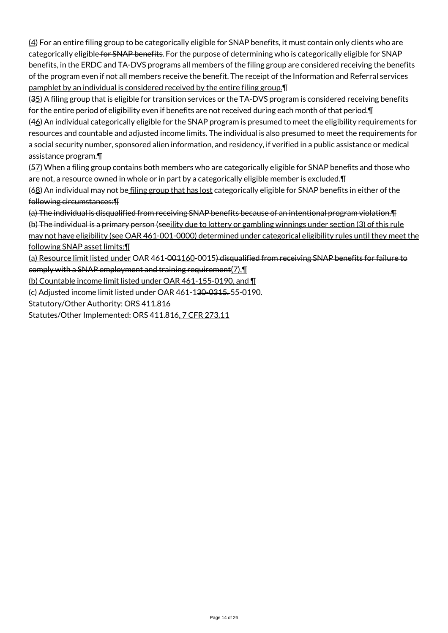(4) For an entire filing group to be categorically eligible for SNAP benefits, it must contain only clients who are categorically eligible for SNAP benefits. For the purpose of determining who is categorically eligible for SNAP benefits, in the ERDC and TA-DVS programs all members of the filing group are considered receiving the benefits of the program even if not all members receive the benefit. The receipt of the Information and Referral services pamphlet by an individual is considered received by the entire filing group.¶

(35) A filing group that is eligible for transition services or the TA-DVS program is considered receiving benefits for the entire period of eligibility even if benefits are not received during each month of that period. In

(46) An individual categorically eligible for the SNAP program is presumed to meet the eligibility requirements for resources and countable and adjusted income limits. The individual is also presumed to meet the requirements for a social security number, sponsored alien information, and residency, if verified in a public assistance or medical assistance program.¶

(57) When a filing group contains both members who are categorically eligible for SNAP benefits and those who are not, a resource owned in whole or in part by a categorically eligible member is excluded.¶

(68) An individual may not be filing group that has lost categorically eligible for SNAP benefits in either of the following circumstances:¶

(a) The individual is disqualified from receiving SNAP benefits because of an intentional program violation.¶

(b) The individual is a primary person (seeility due to lottery or gambling winnings under section (3) of this rule may not have eligibility (see OAR 461-001-0000) determined under categorical eligibility rules until they meet the following SNAP asset limits:¶

(a) Resource limit listed under OAR 461-001160-0015) disqualified from receiving SNAP benefits for failure to comply with a SNAP employment and training requirement $(7)$ , $\P$ 

(b) Countable income limit listed under OAR 461-155-0190, and ¶

(c) Adjusted income limit listed under OAR 461-130-0315. 55-0190.

Statutory/Other Authority: ORS 411.816

Statutes/Other Implemented: ORS 411.816, 7 CFR 273.11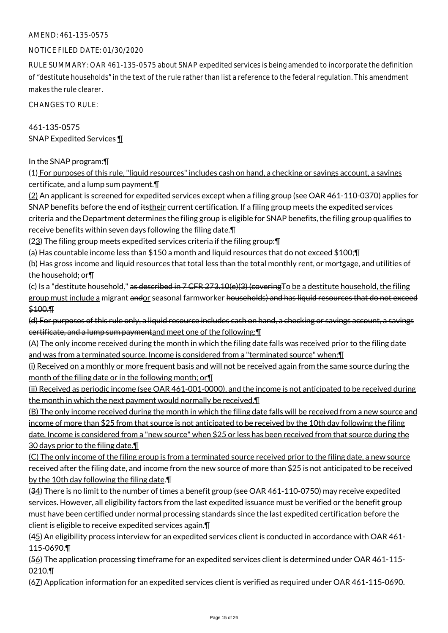## AMEND: 461-135-0575

## NOTICE FILED DATE: 01/30/2020

RULE SUMMARY: OAR 461-135-0575 about SNAP expedited services is being amended to incorporate the definition of "destitute households" in the text of the rule rather than list a reference to the federal regulation. This amendment makes the rule clearer.

CHANGES TO RULE:

461-135-0575 SNAP Expedited Services ¶

In the SNAP program:¶

(1) For purposes of this rule, "liquid resources" includes cash on hand, a checking or savings account, a savings certificate, and a lump sum payment.¶

(2) An applicant is screened for expedited services except when a filing group (see OAR 461-110-0370) applies for SNAP benefits before the end of itstheir current certification. If a filing group meets the expedited services criteria and the Department determines the filing group is eligible for SNAP benefits, the filing group qualifies to receive benefits within seven days following the filing date.¶

(23) The filing group meets expedited services criteria if the filing group:¶

(a) Has countable income less than \$150 a month and liquid resources that do not exceed \$100;¶

(b) Has gross income and liquid resources that total less than the total monthly rent, or mortgage, and utilities of the household; or¶

(c) Is a "destitute household." as described in  $7$  CFR 273.10(e)(3) (covering To be a destitute household, the filing group must include a migrant andor seasonal farmworker households) and has liquid resources that do not exceed \$100.¶

(d) For purposes of this rule only, a liquid resource includes cash on hand, a checking or savings account, a savings certificate, and a lump sum paymentand meet one of the following:¶

(A) The only income received during the month in which the filing date falls was received prior to the filing date and was from a terminated source. Income is considered from a "terminated source" when: I

(i) Received on a monthly or more frequent basis and will not be received again from the same source during the month of the filing date or in the following month; or¶

(ii) Received as periodic income (see OAR 461-001-0000), and the income is not anticipated to be received during the month in which the next payment would normally be received.¶

(B) The only income received during the month in which the filing date falls will be received from a new source and income of more than \$25 from that source is not anticipated to be received by the 10th day following the filing date. Income is considered from a "new source" when \$25 or less has been received from that source during the 30 days prior to the filing date.¶

(C) The only income of the filing group is from a terminated source received prior to the filing date, a new source received after the filing date, and income from the new source of more than \$25 is not anticipated to be received by the 10th day following the filing date.¶

(34) There is no limit to the number of times a benefit group (see OAR 461-110-0750) may receive expedited services. However, all eligibility factors from the last expedited issuance must be verified or the benefit group must have been certified under normal processing standards since the last expedited certification before the client is eligible to receive expedited services again.¶

(45) An eligibility process interview for an expedited services client is conducted in accordance with OAR 461-115-0690.¶

(56) The application processing timeframe for an expedited services client is determined under OAR 461-115- 0210.¶

(67) Application information for an expedited services client is verified as required under OAR 461-115-0690.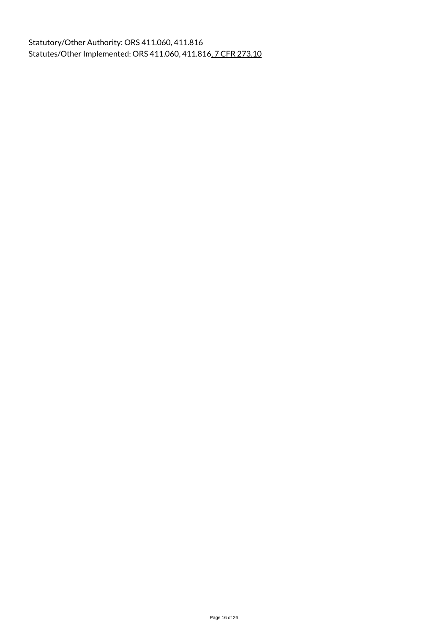Statutory/Other Authority: ORS 411.060, 411.816 Statutes/Other Implemented: ORS 411.060, 411.816, 7 CFR 273.10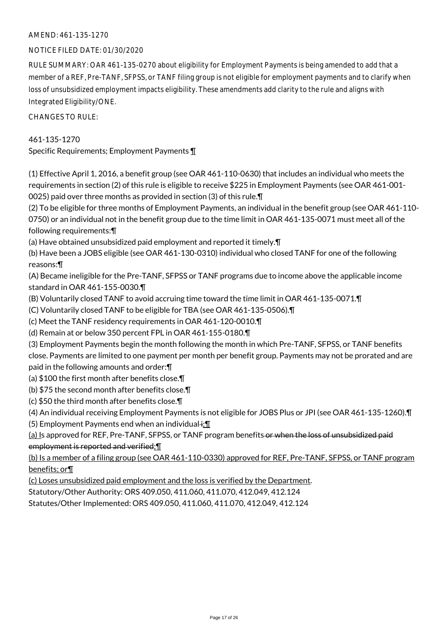# AMEND: 461-135-1270

## NOTICE FILED DATE: 01/30/2020

RULE SUMMARY: OAR 461-135-0270 about eligibility for Employment Payments is being amended to add that a member of a REF, Pre-TANF, SFPSS, or TANF filing group is not eligible for employment payments and to clarify when loss of unsubsidized employment impacts eligibility. These amendments add clarity to the rule and aligns with Integrated Eligibility/ONE.

CHANGES TO RULE:

# 461-135-1270

Specific Requirements; Employment Payments ¶

(1) Effective April 1, 2016, a benefit group (see OAR 461-110-0630) that includes an individual who meets the requirements in section (2) of this rule is eligible to receive \$225 in Employment Payments (see OAR 461-001- 0025) paid over three months as provided in section (3) of this rule.¶

(2) To be eligible for three months of Employment Payments, an individual in the benefit group (see OAR 461-110- 0750) or an individual not in the benefit group due to the time limit in OAR 461-135-0071 must meet all of the following requirements:¶

(a) Have obtained unsubsidized paid employment and reported it timely.¶

(b) Have been a JOBS eligible (see OAR 461-130-0310) individual who closed TANF for one of the following reasons:¶

(A) Became ineligible for the Pre-TANF, SFPSS or TANF programs due to income above the applicable income standard in OAR 461-155-0030.¶

(B) Voluntarily closed TANF to avoid accruing time toward the time limit in OAR 461-135-0071.¶

(C) Voluntarily closed TANF to be eligible for TBA (see OAR 461-135-0506).¶

(c) Meet the TANF residency requirements in OAR 461-120-0010.¶

(d) Remain at or below 350 percent FPL in OAR 461-155-0180.¶

(3) Employment Payments begin the month following the month in which Pre-TANF, SFPSS, or TANF benefits close. Payments are limited to one payment per month per benefit group. Payments may not be prorated and are paid in the following amounts and order:¶

(a) \$100 the first month after benefits close.¶

(b) \$75 the second month after benefits close.¶

(c) \$50 the third month after benefits close.¶

(4) An individual receiving Employment Payments is not eligible for JOBS Plus or JPI (see OAR 461-135-1260).¶

(5) Employment Payments end when an individual $\div$ .

(a) Is approved for REF, Pre-TANF, SFPSS, or TANF program benefits or when the loss of unsubsidized paid employment is reported and verified;¶

(b) Is a member of a filing group (see OAR 461-110-0330) approved for REF, Pre-TANF, SFPSS, or TANF program benefits; or¶

(c) Loses unsubsidized paid employment and the loss is verified by the Department.

Statutory/Other Authority: ORS 409.050, 411.060, 411.070, 412.049, 412.124

Statutes/Other Implemented: ORS 409.050, 411.060, 411.070, 412.049, 412.124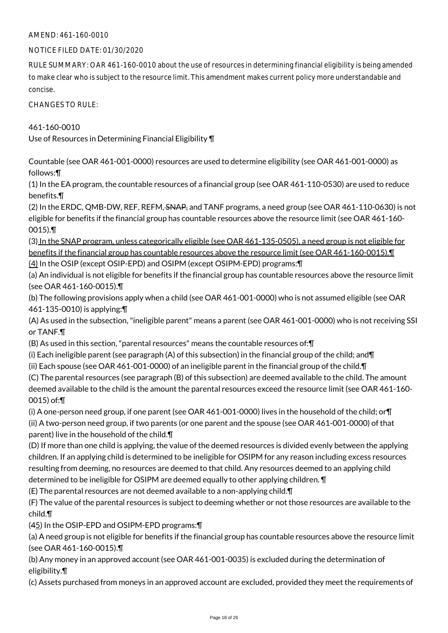## AMEND: 461-160-0010

## NOTICE FILED DATE: 01/30/2020

RULE SUMMARY: OAR 461-160-0010 about the use of resources in determining financial eligibility is being amended to make clear who is subject to the resource limit. This amendment makes current policy more understandable and concise.

CHANGES TO RULE:

461-160-0010 Use of Resources in Determining Financial Eligibility ¶

Countable (see OAR 461-001-0000) resources are used to determine eligibility (see OAR 461-001-0000) as follows:¶

(1) In the EA program, the countable resources of a financial group (see OAR 461-110-0530) are used to reduce benefits.¶

(2) In the ERDC, QMB-DW, REF, REFM, SNAP, and TANF programs, a need group (see OAR 461-110-0630) is not eligible for benefits if the financial group has countable resources above the resource limit (see OAR 461-160- 0015).¶

(3) In the SNAP program, unless categorically eligible (see OAR 461-135-0505), a need group is not eligible for benefits if the financial group has countable resources above the resource limit (see OAR 461-160-0015).¶ (4) In the OSIP (except OSIP-EPD) and OSIPM (except OSIPM-EPD) programs:¶

(a) An individual is not eligible for benefits if the financial group has countable resources above the resource limit (see OAR 461-160-0015).¶

(b) The following provisions apply when a child (see OAR 461-001-0000) who is not assumed eligible (see OAR 461-135-0010) is applying:¶

(A) As used in the subsection, "ineligible parent" means a parent (see OAR 461-001-0000) who is not receiving SSI or TANF.¶

(B) As used in this section, "parental resources" means the countable resources of:¶

(i) Each ineligible parent (see paragraph (A) of this subsection) in the financial group of the child; and  $\P$ 

(ii) Each spouse (see OAR 461-001-0000) of an ineligible parent in the financial group of the child.¶

(C) The parental resources (see paragraph (B) of this subsection) are deemed available to the child. The amount deemed available to the child is the amount the parental resources exceed the resource limit (see OAR 461-160- 0015) of:¶

(i) A one-person need group, if one parent (see OAR 461-001-0000) lives in the household of the child; or¶ (ii) A two-person need group, if two parents (or one parent and the spouse (see OAR 461-001-0000) of that parent) live in the household of the child.¶

(D) If more than one child is applying, the value of the deemed resources is divided evenly between the applying children. If an applying child is determined to be ineligible for OSIPM for any reason including excess resources resulting from deeming, no resources are deemed to that child. Any resources deemed to an applying child determined to be ineligible for OSIPM are deemed equally to other applying children. ¶

(E) The parental resources are not deemed available to a non-applying child.¶

(F) The value of the parental resources is subject to deeming whether or not those resources are available to the child.¶

(45) In the OSIP-EPD and OSIPM-EPD programs:¶

(a) A need group is not eligible for benefits if the financial group has countable resources above the resource limit (see OAR 461-160-0015).¶

(b) Any money in an approved account (see OAR 461-001-0035) is excluded during the determination of eligibility.¶

(c) Assets purchased from moneys in an approved account are excluded, provided they meet the requirements of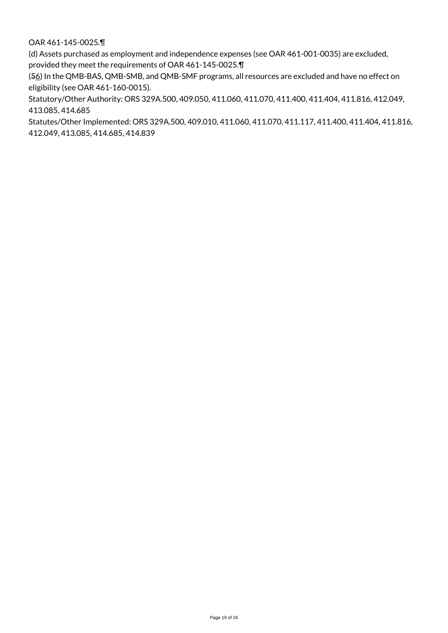OAR 461-145-0025.¶

(d) Assets purchased as employment and independence expenses (see OAR 461-001-0035) are excluded, provided they meet the requirements of OAR 461-145-0025.¶

(56) In the QMB-BAS, QMB-SMB, and QMB-SMF programs, all resources are excluded and have no effect on eligibility (see OAR 461-160-0015).

Statutory/Other Authority: ORS 329A.500, 409.050, 411.060, 411.070, 411.400, 411.404, 411.816, 412.049, 413.085, 414.685

Statutes/Other Implemented: ORS 329A.500, 409.010, 411.060, 411.070, 411.117, 411.400, 411.404, 411.816, 412.049, 413.085, 414.685, 414.839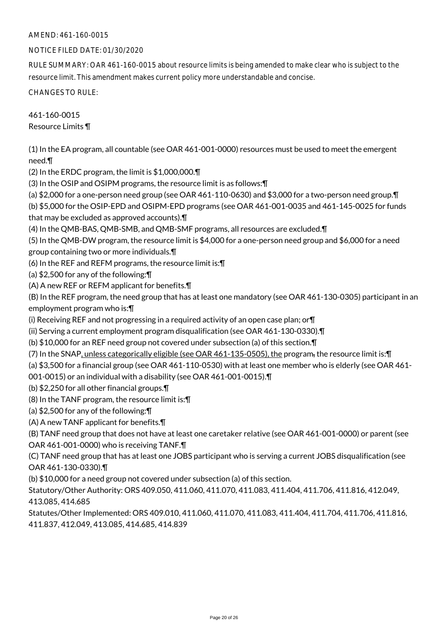## AMEND: 461-160-0015

## NOTICE FILED DATE: 01/30/2020

RULE SUMMARY: OAR 461-160-0015 about resource limits is being amended to make clear who is subject to the resource limit. This amendment makes current policy more understandable and concise.

CHANGES TO RULE:

461-160-0015 Resource Limits ¶

(1) In the EA program, all countable (see OAR 461-001-0000) resources must be used to meet the emergent need.¶

(2) In the ERDC program, the limit is \$1,000,000.¶

(3) In the OSIP and OSIPM programs, the resource limit is as follows:¶

(a) \$2,000 for a one-person need group (see OAR 461-110-0630) and \$3,000 for a two-person need group.¶

(b) \$5,000 for the OSIP-EPD and OSIPM-EPD programs (see OAR 461-001-0035 and 461-145-0025 for funds that may be excluded as approved accounts).¶

(4) In the QMB-BAS, QMB-SMB, and QMB-SMF programs, all resources are excluded.¶

(5) In the QMB-DW program, the resource limit is \$4,000 for a one-person need group and \$6,000 for a need group containing two or more individuals.¶

(6) In the REF and REFM programs, the resource limit is:¶

(a) \$2,500 for any of the following:¶

(A) A new REF or REFM applicant for benefits.¶

(B) In the REF program, the need group that has at least one mandatory (see OAR 461-130-0305) participant in an employment program who is:¶

(i) Receiving REF and not progressing in a required activity of an open case plan; or  $\P$ 

(ii) Serving a current employment program disqualification (see OAR 461-130-0330).¶

(b) \$10,000 for an REF need group not covered under subsection (a) of this section.¶

(7) In the SNAP, unless categorically eligible (see OAR 461-135-0505), the program, the resource limit is:¶

(a) \$3,500 for a financial group (see OAR 461-110-0530) with at least one member who is elderly (see OAR 461-

001-0015) or an individual with a disability (see OAR 461-001-0015).¶

(b) \$2,250 for all other financial groups.¶

(8) In the TANF program, the resource limit is:¶

(a) \$2,500 for any of the following:¶

(A) A new TANF applicant for benefits.¶

(B) TANF need group that does not have at least one caretaker relative (see OAR 461-001-0000) or parent (see OAR 461-001-0000) who is receiving TANF.¶

(C) TANF need group that has at least one JOBS participant who is serving a current JOBS disqualification (see OAR 461-130-0330).¶

(b) \$10,000 for a need group not covered under subsection (a) of this section.

Statutory/Other Authority: ORS 409.050, 411.060, 411.070, 411.083, 411.404, 411.706, 411.816, 412.049, 413.085, 414.685

Statutes/Other Implemented: ORS 409.010, 411.060, 411.070, 411.083, 411.404, 411.704, 411.706, 411.816, 411.837, 412.049, 413.085, 414.685, 414.839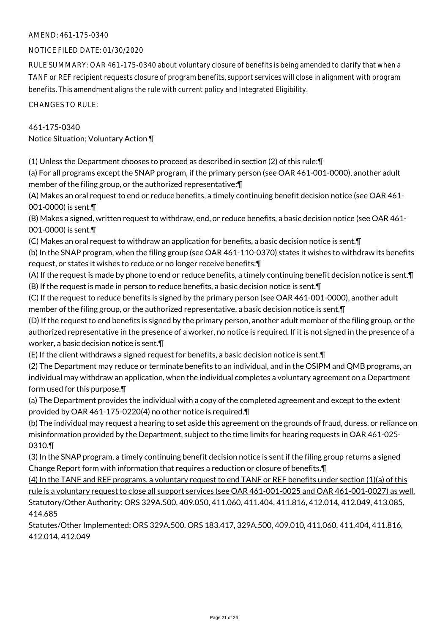## AMEND: 461-175-0340

## NOTICE FILED DATE: 01/30/2020

RULE SUMMARY: OAR 461-175-0340 about voluntary closure of benefits is being amended to clarify that when a TANF or REF recipient requests closure of program benefits, support services will close in alignment with program benefits. This amendment aligns the rule with current policy and Integrated Eligibility.

CHANGES TO RULE:

## 461-175-0340

Notice Situation; Voluntary Action ¶

(1) Unless the Department chooses to proceed as described in section (2) of this rule:¶

(a) For all programs except the SNAP program, if the primary person (see OAR 461-001-0000), another adult member of the filing group, or the authorized representative:¶

(A) Makes an oral request to end or reduce benefits, a timely continuing benefit decision notice (see OAR 461- 001-0000) is sent.¶

(B) Makes a signed, written request to withdraw, end, or reduce benefits, a basic decision notice (see OAR 461- 001-0000) is sent.¶

(C) Makes an oral request to withdraw an application for benefits, a basic decision notice is sent.¶

(b) In the SNAP program, when the filing group (see OAR 461-110-0370) states it wishes to withdraw its benefits request, or states it wishes to reduce or no longer receive benefits:¶

(A) If the request is made by phone to end or reduce benefits, a timely continuing benefit decision notice is sent.¶ (B) If the request is made in person to reduce benefits, a basic decision notice is sent.¶

(C) If the request to reduce benefits is signed by the primary person (see OAR 461-001-0000), another adult member of the filing group, or the authorized representative, a basic decision notice is sent.¶

(D) If the request to end benefits is signed by the primary person, another adult member of the filing group, or the authorized representative in the presence of a worker, no notice is required. If it is not signed in the presence of a worker, a basic decision notice is sent.¶

(E) If the client withdraws a signed request for benefits, a basic decision notice is sent.¶

(2) The Department may reduce or terminate benefits to an individual, and in the OSIPM and QMB programs, an individual may withdraw an application, when the individual completes a voluntary agreement on a Department form used for this purpose.¶

(a) The Department provides the individual with a copy of the completed agreement and except to the extent provided by OAR 461-175-0220(4) no other notice is required.¶

(b) The individual may request a hearing to set aside this agreement on the grounds of fraud, duress, or reliance on misinformation provided by the Department, subject to the time limits for hearing requests in OAR 461-025- 0310.¶

(3) In the SNAP program, a timely continuing benefit decision notice is sent if the filing group returns a signed Change Report form with information that requires a reduction or closure of benefits.¶

(4) In the TANF and REF programs, a voluntary request to end TANF or REF benefits under section (1)(a) of this rule is a voluntary request to close all support services (see OAR 461-001-0025 and OAR 461-001-0027) as well. Statutory/Other Authority: ORS 329A.500, 409.050, 411.060, 411.404, 411.816, 412.014, 412.049, 413.085, 414.685

Statutes/Other Implemented: ORS 329A.500, ORS 183.417, 329A.500, 409.010, 411.060, 411.404, 411.816, 412.014, 412.049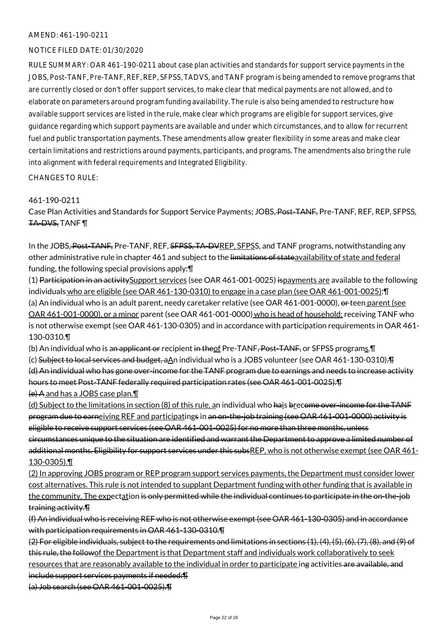#### AMEND: 461-190-0211

#### NOTICE FILED DATE: 01/30/2020

RULE SUMMARY: OAR 461-190-0211 about case plan activities and standards for support service payments in the JOBS, Post-TANF, Pre-TANF, REF, REP, SFPSS, TADVS, and TANF program is being amended to remove programs that are currently closed or don't offer support services, to make clear that medical payments are not allowed, and to elaborate on parameters around program funding availability. The rule is also being amended to restructure how available support services are listed in the rule, make clear which programs are eligible for support services, give guidance regarding which support payments are available and under which circumstances, and to allow for recurrent fuel and public transportation payments. These amendments allow greater flexibility in some areas and make clear certain limitations and restrictions around payments, participants, and programs. The amendments also bring the rule into alignment with federal requirements and Integrated Eligibility.

CHANGES TO RULE:

## 461-190-0211

Case Plan Activities and Standards for Support Service Payments; JOBS, Post-TANF, Pre-TANF, REF, REP, SFPSS, TA-DVS, TANF ¶

In the JOBS, Post-TANF, Pre-TANF, REF, SFPSS, TA-DVREP, SFPSS, and TANF programs, notwithstanding any other administrative rule in chapter 461 and subject to the limitations of stateavailability of state and federal funding, the following special provisions apply:¶

(1) Participation in an activitySupport services (see OAR 461-001-0025) ispayments are available to the following individuals who are eligible (see OAR 461-130-0310) to engage in a case plan (see OAR 461-001-0025):¶ (a) An individual who is an adult parent, needy caretaker relative (see OAR 461-001-0000), or teen parent (see OAR 461-001-0000), or a minor parent (see OAR 461-001-0000) who is head of household; receiving TANF who is not otherwise exempt (see OAR 461-130-0305) and in accordance with participation requirements in OAR 461- 130-0310.¶

(b) An individual who is an applicant or recipient in theof Pre-TANF, Post-TANF, or SFPSS programs. T

(c) Subject to local services and budget, aAn individual who is a JOBS volunteer (see OAR 461-130-0310).¶ (d) An individual who has gone over-income for the TANF program due to earnings and needs to increase activity hours to meet Post-TANF federally required participation rates (see OAR 461-001-0025).¶

(e) A and has a JOBS case plan.¶

(d) Subject to the limitations in section (8) of this rule, an individual who hais brecome over-income for the TANF program due to earneiving REF and participatings in an on-the-job training (see OAR 461-001-0000) activity is eligible to receive support services (see OAR 461-001-0025) for no more than three months, unless circumstances unique to the situation are identified and warrant the Department to approve a limited number of additional months. Eligibility for support services under this subsREP, who is not otherwise exempt (see OAR 461-130-0305).¶

(2) In approving JOBS program or REP program support services payments, the Department must consider lower cost alternatives. This rule is not intended to supplant Department funding with other funding that is available in the community. The expectation is only permitted while the individual continues to participate in the on-the-job training activity.¶

(f) An individual who is receiving REF who is not otherwise exempt (see OAR 461-130-0305) and in accordance with participation requirements in OAR 461-130-0310.¶

(2) For eligible individuals, subject to the requirements and limitations in sections (1), (4), (5), (6), (7), (8), and (9) of this rule, the followof the Department is that Department staff and individuals work collaboratively to seek resources that are reasonably available to the individual in order to participate ing activities are available, and include support services payments if needed:¶ (a) Job search (see OAR 461-001-0025).¶

Page 22 of 26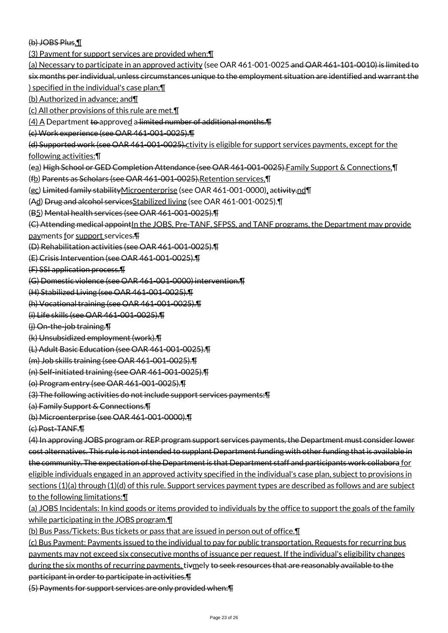(b) JOBS Plus.¶

(3) Payment for support services are provided when:¶

(a) Necessary to participate in an approved activity (see OAR 461-001-0025 and OAR 461-101-0010) is limited to six months per individual, unless circumstances unique to the employment situation are identified and warrant the ) specified in the individual's case plan;¶

(b) Authorized in advance; and¶

(c) All other provisions of this rule are met.¶

 $(4)$  A Department to approved a limited number of additional months. $\P$ 

(c) Work experience (see OAR 461-001-0025).¶

(d) Supported work (see OAR 461-001-0025).ctivity is eligible for support services payments, except for the

following activities:¶

- (ea) High School or GED Completion Attendance (see OAR 461-001-0025).Family Support & Connections,¶
- (fb) Parents as Scholars (see OAR 461-001-0025).Retention services,¶
- (gc) Limited family stabilityMicroenterprise (see OAR 461-001-0000), activity.nd¶
- (Ad) Drug and alcohol servicesStabilized living (see OAR 461-001-0025).¶
- (B5) Mental health services (see OAR 461-001-0025).¶

(C) Attending medical appointIn the JOBS, Pre-TANF, SFPSS, and TANF programs, the Department may provide

payments for support services.¶

(D) Rehabilitation activities (see OAR 461-001-0025).¶

(E) Crisis Intervention (see OAR 461-001-0025).¶

(F) SSI application process.¶

(G) Domestic violence (see OAR 461-001-0000) intervention.¶

(H) Stabilized Living (see OAR 461-001-0025).¶

(h) Vocational training (see OAR 461-001-0025).¶

(i) Life skills (see OAR 461-001-0025).¶

(j) On-the-job training.¶

(k) Unsubsidized employment (work).¶

(L) Adult Basic Education (see OAR 461-001-0025).¶

(m) Job skills training (see OAR 461-001-0025).¶

(n) Self-initiated training (see OAR 461-001-0025).¶

(o) Program entry (see OAR 461-001-0025).¶

(3) The following activities do not include support services payments:¶

(a) Family Support & Connections.¶

(b) Microenterprise (see OAR 461-001-0000).¶

(c) Post-TANF.¶

(4) In approving JOBS program or REP program support services payments, the Department must consider lower cost alternatives. This rule is not intended to supplant Department funding with other funding that is available in the community. The expectation of the Department is that Department staff and participants work collabora for eligible individuals engaged in an approved activity specified in the individual's case plan, subject to provisions in sections (1)(a) through (1)(d) of this rule. Support services payment types are described as follows and are subject to the following limitations:¶

(a) JOBS Incidentals: In kind goods or items provided to individuals by the office to support the goals of the family while participating in the JOBS program.¶

(b) Bus Pass/Tickets: Bus tickets or pass that are issued in person out of office.¶

(c) Bus Payment: Payments issued to the individual to pay for public transportation. Requests for recurring bus payments may not exceed six consecutive months of issuance per request. If the individual's eligibility changes during the six months of recurring payments, tivmely to seek resources that are reasonably available to the participant in order to participate in activities.¶

(5) Payments for support services are only provided when:¶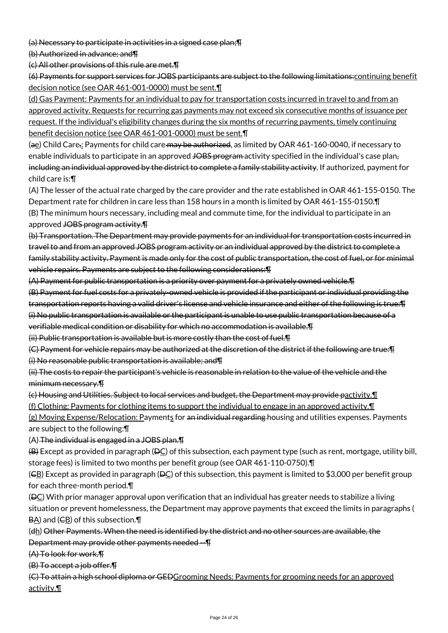(a) Necessary to participate in activities in a signed case plan;¶

(b) Authorized in advance; and¶

(c) All other provisions of this rule are met.¶

(6) Payments for support services for JOBS participants are subject to the following limitations:continuing benefit decision notice (see OAR 461-001-0000) must be sent.¶

(d) Gas Payment: Payments for an individual to pay for transportation costs incurred in travel to and from an approved activity. Requests for recurring gas payments may not exceed six consecutive months of issuance per request. If the individual's eligibility changes during the six months of recurring payments, timely continuing benefit decision notice (see OAR 461-001-0000) must be sent.¶

(ae) Child Care.: Payments for child care may be authorized, as limited by OAR 461-160-0040, if necessary to enable individuals to participate in an approved JOBS program activity specified in the individual's case plan, including an individual approved by the district to complete a family stability activity. If authorized, payment for child care is:¶

(A) The lesser of the actual rate charged by the care provider and the rate established in OAR 461-155-0150. The Department rate for children in care less than 158 hours in a month is limited by OAR 461-155-0150.¶ (B) The minimum hours necessary, including meal and commute time, for the individual to participate in an approved JOBS program activity.¶

(b) Transportation. The Department may provide payments for an individual for transportation costs incurred in travel to and from an approved JOBS program activity or an individual approved by the district to complete a family stability activity. Payment is made only for the cost of public transportation, the cost of fuel, or for minimal vehicle repairs. Payments are subject to the following considerations:¶

(A) Payment for public transportation is a priority over payment for a privately owned vehicle.¶

(B) Payment for fuel costs for a privately-owned vehicle is provided if the participant or individual providing the transportation reports having a valid driver's license and vehicle insurance and either of the following is true:¶ (i) No public transportation is available or the participant is unable to use public transportation because of a verifiable medical condition or disability for which no accommodation is available.¶

(ii) Public transportation is available but is more costly than the cost of fuel.¶

(C) Payment for vehicle repairs may be authorized at the discretion of the district if the following are true:¶ (i) No reasonable public transportation is available; and¶

(ii) The costs to repair the participant's vehicle is reasonable in relation to the value of the vehicle and the minimum necessary.¶

(c) Housing and Utilities. Subject to local services and budget, the Department may provide pactivity.¶

(f) Clothing: Payments for clothing items to support the individual to engage in an approved activity.¶

(g) Moving Expense/Relocation: Payments for an individual regarding housing and utilities expenses. Payments are subject to the following:¶

(A) The individual is engaged in a JOBS plan.¶

 $(B)$  Except as provided in paragraph ( $BC$ ) of this subsection, each payment type (such as rent, mortgage, utility bill, storage fees) is limited to two months per benefit group (see OAR 461-110-0750).¶

(CB) Except as provided in paragraph (DC) of this subsection, this payment is limited to \$3,000 per benefit group for each three-month period.¶

 $(BC)$  With prior manager approval upon verification that an individual has greater needs to stabilize a living situation or prevent homelessness, the Department may approve payments that exceed the limits in paragraphs (  $B\underline{A}$ ) and ( $C\underline{B}$ ) of this subsection. $\P$ 

(dh) Other Payments. When the need is identified by the district and no other sources are available, the Department may provide other payments needed --¶

(A) To look for work.¶

(B) To accept a job offer.¶

(C) To attain a high school diploma or GEDGrooming Needs: Payments for grooming needs for an approved activity.¶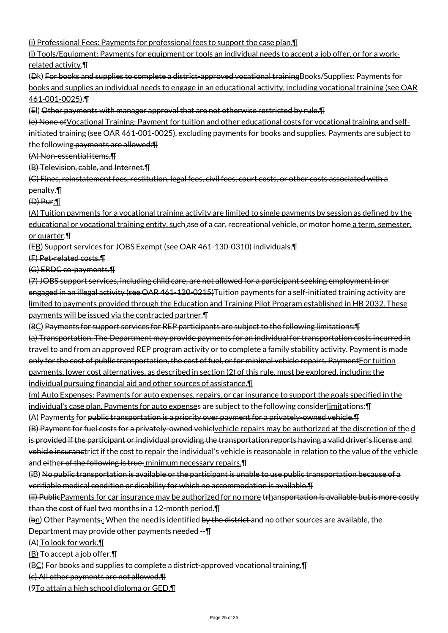(i) Professional Fees: Payments for professional fees to support the case plan.¶

(j) Tools/Equipment: Payments for equipment or tools an individual needs to accept a job offer, or for a workrelated activity.¶

(Dk) For books and supplies to complete a district-approved vocational trainingBooks/Supplies: Payments for books and supplies an individual needs to engage in an educational activity, including vocational training (see OAR 461-001-0025).¶

(El) Other payments with manager approval that are not otherwise restricted by rule.¶

(e) None ofVocational Training: Payment for tuition and other educational costs for vocational training and selfinitiated training (see OAR 461-001-0025), excluding payments for books and supplies. Payments are subject to the following payments are allowed: T

(A) Non-essential items.¶

(B) Television, cable, and Internet.¶

(C) Fines, reinstatement fees, restitution, legal fees, civil fees, court costs, or other costs associated with a penalty.¶

(D) Pur:¶

(A) Tuition payments for a vocational training activity are limited to single payments by session as defined by the educational or vocational training entity, such ase of a car, recreational vehicle, or motor home a term, semester, or quarter.¶

(EB) Support services for JOBS Exempt (see OAR 461-130-0310) individuals.¶

(F) Pet-related costs.¶

(G) ERDC co-payments.¶

(7) JOBS support services, including child care, are not allowed for a participant seeking employment in or engaged in an illegal activity (see OAR 461-120-0215)Tuition payments for a self-initiated training activity are limited to payments provided through the Education and Training Pilot Program established in HB 2032. These payments will be issued via the contracted partner.¶

(8C) Payments for support services for REP participants are subject to the following limitations:¶

(a) Transportation. The Department may provide payments for an individual for transportation costs incurred in travel to and from an approved REP program activity or to complete a family stability activity. Payment is made only for the cost of public transportation, the cost of fuel, or for minimal vehicle repairs. PaymentFor tuition payments, lower cost alternatives, as described in section (2) of this rule, must be explored, including the individual pursuing financial aid and other sources of assistance.¶

(m) Auto Expenses: Payments for auto expenses, repairs, or car insurance to support the goals specified in the individual's case plan. Payments for auto expenses are subject to the following considerlimitations: [1]

(A) Payments for public transportation is a priority over payment for a privately-owned vehicle.¶

(B) Payment for fuel costs for a privately-owned vehiclvehicle repairs may be authorized at the discretion of the d is provided if the participant or individual providing the transportation reports having a valid driver's license and vehicle insuranctrict if the cost to repair the individual's vehicle is reasonable in relation to the value of the vehicle and either of the following is true: minimum necessary repairs. [1]

(iB) No public transportation is available or the participant is unable to use public transportation because of a verifiable medical condition or disability for which no accommodation is available.¶

(ii) Public Payments for car insurance may be authorized for no more trhansportation is available but is more costly than the cost of fuel two months in a 12-month period.¶

 $(bn)$  Other Payments.: When the need is identified by the district and no other sources are available, the Department may provide other payments needed --¶

(A) To look for work.¶

(B) To accept a job offer.¶

(BC) For books and supplies to complete a district-approved vocational training.¶

(c) All other payments are not allowed.¶

(9To attain a high school diploma or GED.¶